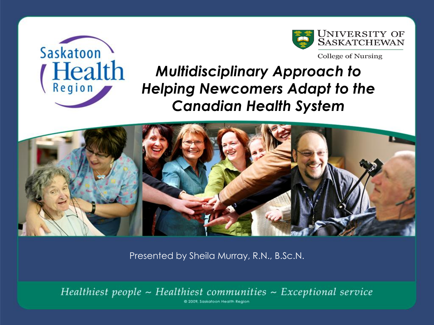



**College of Nursing** 

#### *Multidisciplinary Approach to Helping Newcomers Adapt to the Canadian Health System*



Presented by Sheila Murray, R.N., B.Sc.N.

Healthiest people  $\sim$  Healthiest communities  $\sim$  Exceptional service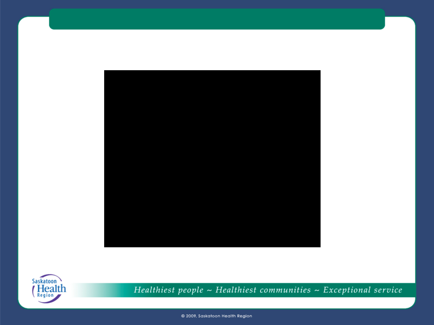



Healthiest people ~ Healthiest communities ~ Exceptional service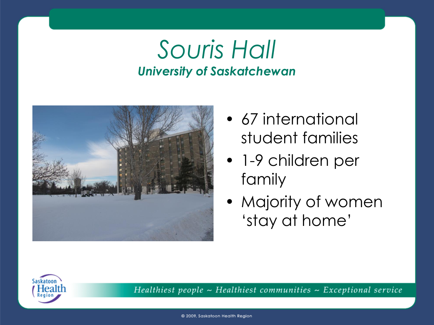#### *Souris Hall University of Saskatchewan*



- 67 international student families
- 1-9 children per family
- Majority of women 'stay at home'

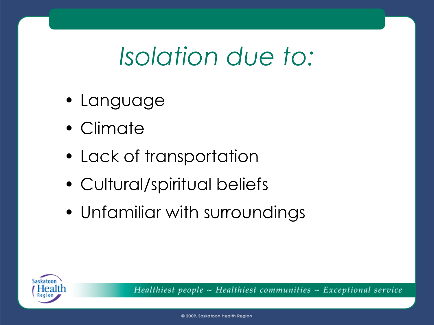## *Isolation due to:*

- Language
- Climate
- Lack of transportation
- Cultural/spiritual beliefs
- Unfamiliar with surroundings

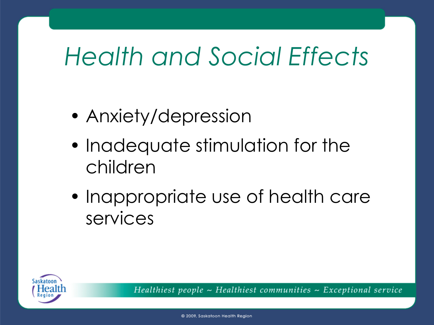## *Health and Social Effects*

- Anxiety/depression
- Inadequate stimulation for the children
- Inappropriate use of health care services

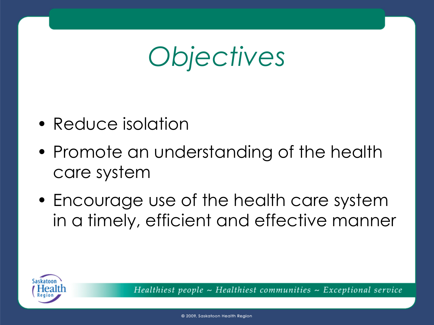# *Objectives*

- Reduce isolation
- Promote an understanding of the health care system
- Encourage use of the health care system in a timely, efficient and effective manner

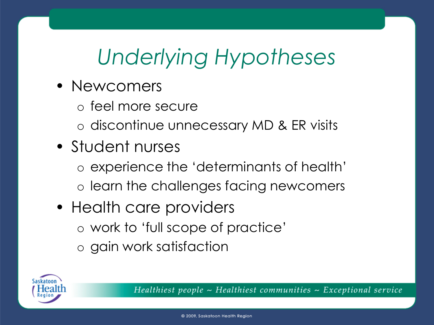### *Underlying Hypotheses*

- Newcomers
	- o feel more secure
	- o discontinue unnecessary MD & ER visits
- Student nurses
	- o experience the 'determinants of health' o learn the challenges facing newcomers
- Health care providers o work to 'full scope of practice' o gain work satisfaction

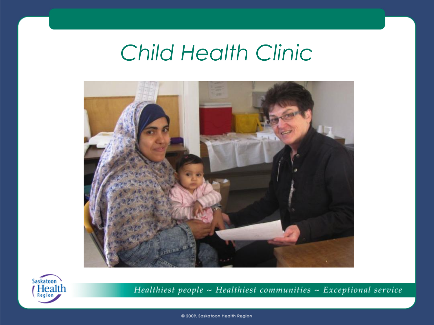#### *Child Health Clinic*





Healthiest people  $\sim$  Healthiest communities  $\sim$  Exceptional service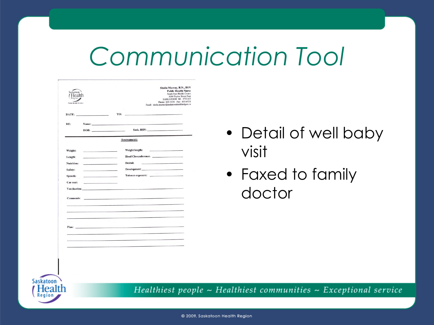## *Communication Tool*

| Saskatoon<br>Health<br>Region<br>Public Health Services |                                                                                                                                                                                                                                      | Sheila Murray, R.N., BSN<br><b>Public Health Nurse</b><br>South East Health Centre<br>3006 Taylor Street East<br>SASKATOON SK S7H 4J2<br>Phone: 655-4578 Fax: 655-4720<br>Email: sheila.murray@saskatoonhealthreigon.ca<br>$\sim$ |
|---------------------------------------------------------|--------------------------------------------------------------------------------------------------------------------------------------------------------------------------------------------------------------------------------------|-----------------------------------------------------------------------------------------------------------------------------------------------------------------------------------------------------------------------------------|
|                                                         | DATE:                                                                                                                                                                                                                                | $\begin{tabular}{c} T0: \end{tabular}$                                                                                                                                                                                            |
| RE:                                                     |                                                                                                                                                                                                                                      | DOB:                                                                                                                                                                                                                              |
|                                                         |                                                                                                                                                                                                                                      | Assessment:                                                                                                                                                                                                                       |
| Weight:<br>Length:                                      | <u>and the company of the company of the company of the company of the company of the company of the company of the company of the company of the company of the company of the company of the company of the company of the com</u> | Weight/length:                                                                                                                                                                                                                    |
| <b>Nutrition:</b><br>Safety:                            |                                                                                                                                                                                                                                      | Dental:<br>the contract of the contract of the contract of                                                                                                                                                                        |
| Speech:                                                 | <u> 1989 - John Harry Harry House, amerikan</u>                                                                                                                                                                                      |                                                                                                                                                                                                                                   |
| Car seat:                                               | <b>PARTICULAR PROPERTY AND INCOME.</b>                                                                                                                                                                                               | Vaccination: Wallet Communication of the Communication of the Communication of the Communication of the Communication of the Communication of the Communication of the Communication of the Communication of the Communication    |
|                                                         |                                                                                                                                                                                                                                      | Comments: experience and the comments:                                                                                                                                                                                            |
|                                                         |                                                                                                                                                                                                                                      |                                                                                                                                                                                                                                   |
|                                                         |                                                                                                                                                                                                                                      | $\sim$                                                                                                                                                                                                                            |
|                                                         |                                                                                                                                                                                                                                      |                                                                                                                                                                                                                                   |
|                                                         |                                                                                                                                                                                                                                      |                                                                                                                                                                                                                                   |
|                                                         |                                                                                                                                                                                                                                      |                                                                                                                                                                                                                                   |
|                                                         |                                                                                                                                                                                                                                      |                                                                                                                                                                                                                                   |
|                                                         |                                                                                                                                                                                                                                      |                                                                                                                                                                                                                                   |
|                                                         |                                                                                                                                                                                                                                      |                                                                                                                                                                                                                                   |

- Detail of well baby visit
- Faxed to family doctor

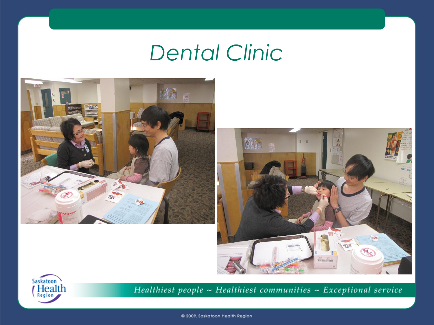### *Dental Clinic*







Healthiest people ~ Healthiest communities ~ Exceptional service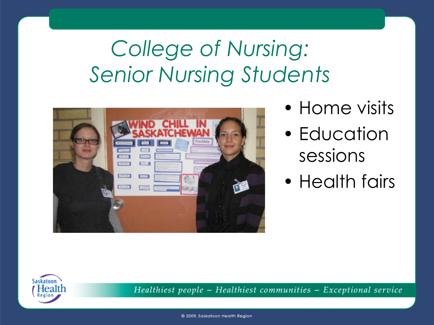### *College of Nursing: Senior Nursing Students*



- Home visits
- Education sessions
- Health fairs

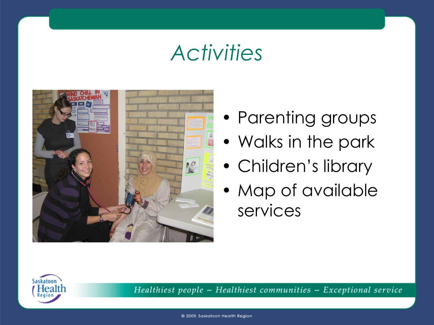### *Activities*



- Parenting groups
- Walks in the park
- Children's library
- Map of available services

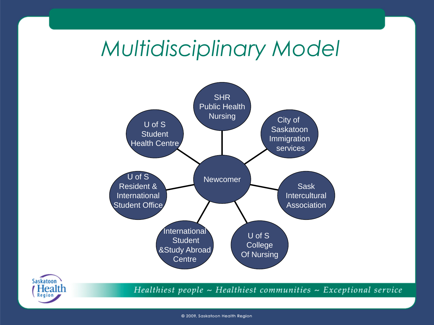### *Multidisciplinary Model*





Healthiest people  $\sim$  Healthiest communities  $\sim$  Exceptional service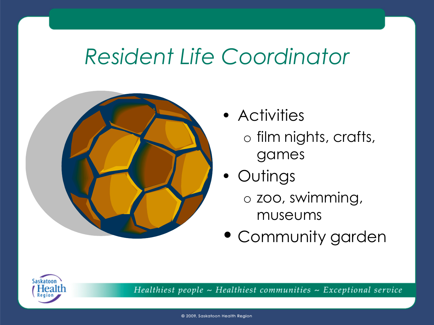### *Resident Life Coordinator*



- Activities o film nights, crafts, games
- **Outings** 
	- o zoo, swimming, museums
- Community garden

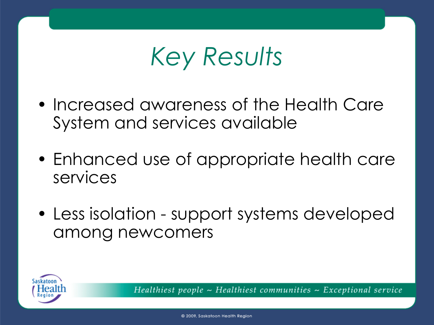## *Key Results*

- Increased awareness of the Health Care System and services available
- Enhanced use of appropriate health care services
- Less isolation support systems developed among newcomers

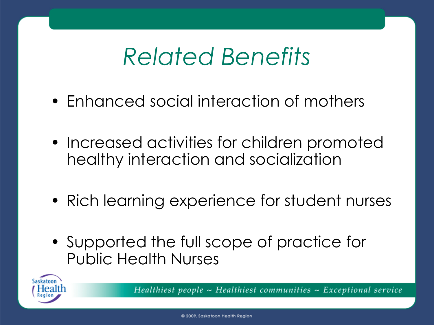### *Related Benefits*

- Enhanced social interaction of mothers
- Increased activities for children promoted healthy interaction and socialization
- Rich learning experience for student nurses
- Supported the full scope of practice for Public Health Nurses

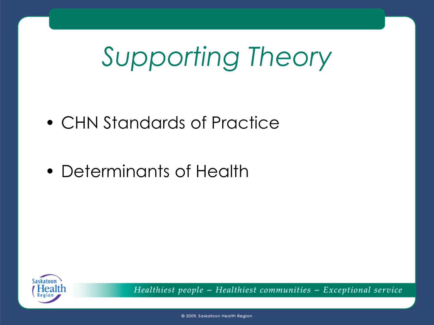# *Supporting Theory*

- CHN Standards of Practice
- Determinants of Health



Healthiest people  $\sim$  Healthiest communities  $\sim$  Exceptional service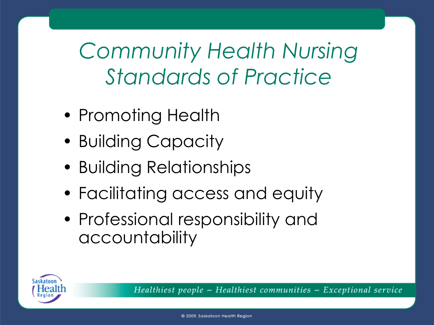*Community Health Nursing Standards of Practice*

- Promoting Health
- Building Capacity
- Building Relationships
- Facilitating access and equity
- Professional responsibility and accountability

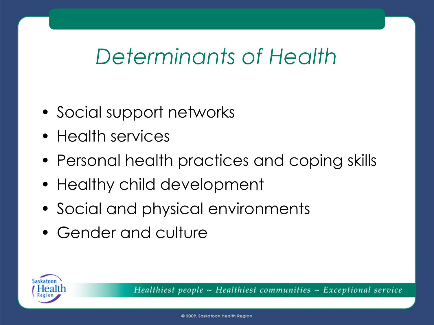### *Determinants of Health*

- Social support networks
- Health services
- Personal health practices and coping skills
- Healthy child development
- Social and physical environments
- Gender and culture